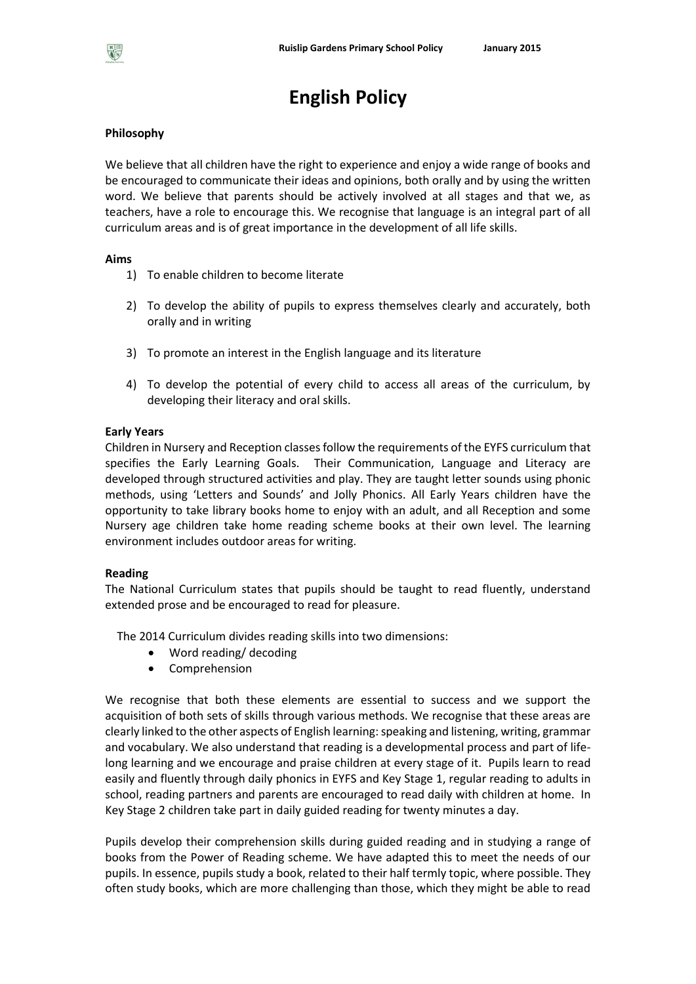

# **English Policy**

#### **Philosophy**

We believe that all children have the right to experience and enjoy a wide range of books and be encouraged to communicate their ideas and opinions, both orally and by using the written word. We believe that parents should be actively involved at all stages and that we, as teachers, have a role to encourage this. We recognise that language is an integral part of all curriculum areas and is of great importance in the development of all life skills.

#### **Aims**

- 1) To enable children to become literate
- 2) To develop the ability of pupils to express themselves clearly and accurately, both orally and in writing
- 3) To promote an interest in the English language and its literature
- 4) To develop the potential of every child to access all areas of the curriculum, by developing their literacy and oral skills.

#### **Early Years**

Children in Nursery and Reception classes follow the requirements of the EYFS curriculum that specifies the Early Learning Goals. Their Communication, Language and Literacy are developed through structured activities and play. They are taught letter sounds using phonic methods, using 'Letters and Sounds' and Jolly Phonics. All Early Years children have the opportunity to take library books home to enjoy with an adult, and all Reception and some Nursery age children take home reading scheme books at their own level. The learning environment includes outdoor areas for writing.

#### **Reading**

The National Curriculum states that pupils should be taught to read fluently, understand extended prose and be encouraged to read for pleasure.

The 2014 Curriculum divides reading skills into two dimensions:

- Word reading/ decoding
- Comprehension

We recognise that both these elements are essential to success and we support the acquisition of both sets of skills through various methods. We recognise that these areas are clearly linked to the other aspects of English learning: speaking and listening, writing, grammar and vocabulary. We also understand that reading is a developmental process and part of lifelong learning and we encourage and praise children at every stage of it. Pupils learn to read easily and fluently through daily phonics in EYFS and Key Stage 1, regular reading to adults in school, reading partners and parents are encouraged to read daily with children at home. In Key Stage 2 children take part in daily guided reading for twenty minutes a day.

Pupils develop their comprehension skills during guided reading and in studying a range of books from the Power of Reading scheme. We have adapted this to meet the needs of our pupils. In essence, pupils study a book, related to their half termly topic, where possible. They often study books, which are more challenging than those, which they might be able to read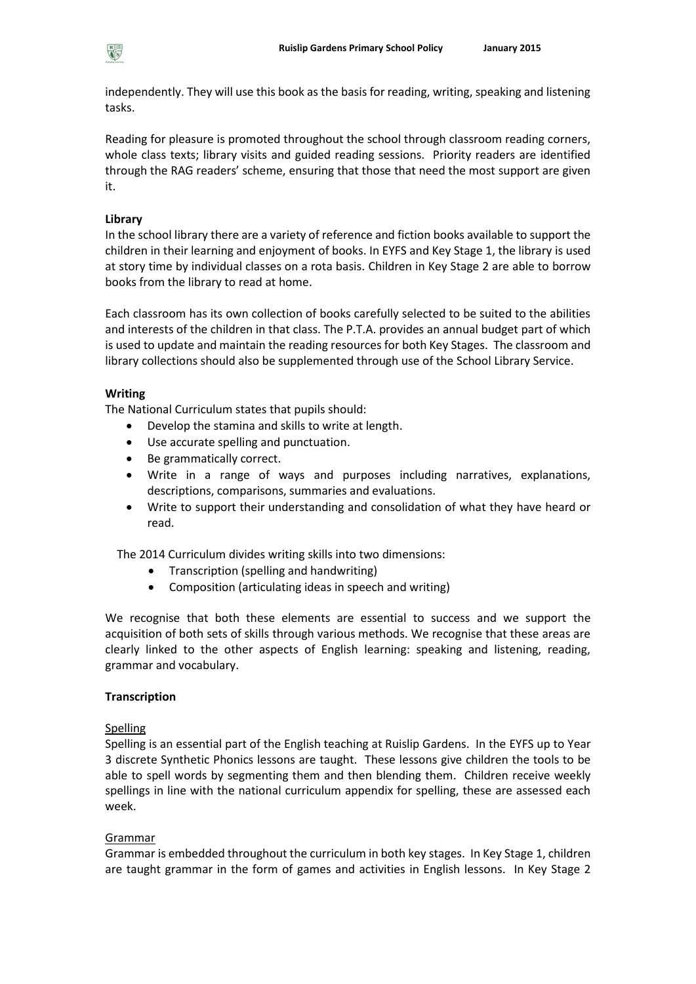

independently. They will use this book as the basis for reading, writing, speaking and listening tasks.

Reading for pleasure is promoted throughout the school through classroom reading corners, whole class texts; library visits and guided reading sessions. Priority readers are identified through the RAG readers' scheme, ensuring that those that need the most support are given it.

# **Library**

In the school library there are a variety of reference and fiction books available to support the children in their learning and enjoyment of books. In EYFS and Key Stage 1, the library is used at story time by individual classes on a rota basis. Children in Key Stage 2 are able to borrow books from the library to read at home.

Each classroom has its own collection of books carefully selected to be suited to the abilities and interests of the children in that class. The P.T.A. provides an annual budget part of which is used to update and maintain the reading resources for both Key Stages. The classroom and library collections should also be supplemented through use of the School Library Service.

# **Writing**

The National Curriculum states that pupils should:

- Develop the stamina and skills to write at length.
- Use accurate spelling and punctuation.
- Be grammatically correct.
- Write in a range of ways and purposes including narratives, explanations, descriptions, comparisons, summaries and evaluations.
- Write to support their understanding and consolidation of what they have heard or read.

The 2014 Curriculum divides writing skills into two dimensions:

- Transcription (spelling and handwriting)
- Composition (articulating ideas in speech and writing)

We recognise that both these elements are essential to success and we support the acquisition of both sets of skills through various methods. We recognise that these areas are clearly linked to the other aspects of English learning: speaking and listening, reading, grammar and vocabulary.

## **Transcription**

## Spelling

Spelling is an essential part of the English teaching at Ruislip Gardens. In the EYFS up to Year 3 discrete Synthetic Phonics lessons are taught. These lessons give children the tools to be able to spell words by segmenting them and then blending them. Children receive weekly spellings in line with the national curriculum appendix for spelling, these are assessed each week.

## Grammar

Grammar is embedded throughout the curriculum in both key stages. In Key Stage 1, children are taught grammar in the form of games and activities in English lessons. In Key Stage 2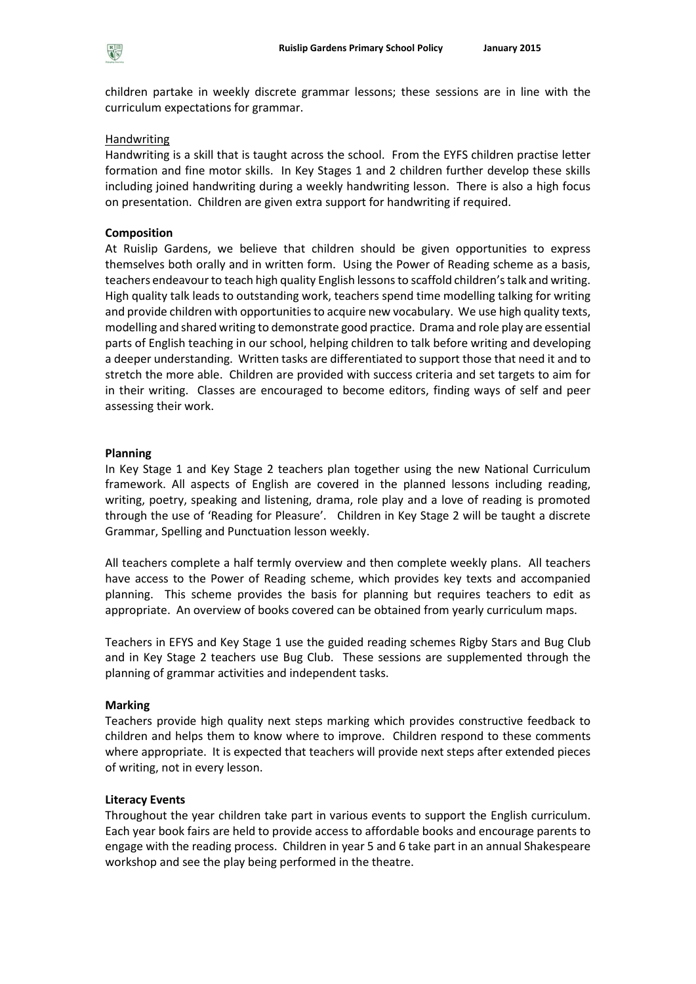children partake in weekly discrete grammar lessons; these sessions are in line with the curriculum expectations for grammar.

# **Handwriting**

Handwriting is a skill that is taught across the school. From the EYFS children practise letter formation and fine motor skills. In Key Stages 1 and 2 children further develop these skills including joined handwriting during a weekly handwriting lesson. There is also a high focus on presentation. Children are given extra support for handwriting if required.

# **Composition**

At Ruislip Gardens, we believe that children should be given opportunities to express themselves both orally and in written form. Using the Power of Reading scheme as a basis, teachers endeavour to teach high quality English lessons to scaffold children's talk and writing. High quality talk leads to outstanding work, teachers spend time modelling talking for writing and provide children with opportunities to acquire new vocabulary. We use high quality texts, modelling and shared writing to demonstrate good practice. Drama and role play are essential parts of English teaching in our school, helping children to talk before writing and developing a deeper understanding. Written tasks are differentiated to support those that need it and to stretch the more able. Children are provided with success criteria and set targets to aim for in their writing. Classes are encouraged to become editors, finding ways of self and peer assessing their work.

## **Planning**

In Key Stage 1 and Key Stage 2 teachers plan together using the new National Curriculum framework. All aspects of English are covered in the planned lessons including reading, writing, poetry, speaking and listening, drama, role play and a love of reading is promoted through the use of 'Reading for Pleasure'. Children in Key Stage 2 will be taught a discrete Grammar, Spelling and Punctuation lesson weekly.

All teachers complete a half termly overview and then complete weekly plans. All teachers have access to the Power of Reading scheme, which provides key texts and accompanied planning. This scheme provides the basis for planning but requires teachers to edit as appropriate. An overview of books covered can be obtained from yearly curriculum maps.

Teachers in EFYS and Key Stage 1 use the guided reading schemes Rigby Stars and Bug Club and in Key Stage 2 teachers use Bug Club. These sessions are supplemented through the planning of grammar activities and independent tasks.

## **Marking**

Teachers provide high quality next steps marking which provides constructive feedback to children and helps them to know where to improve. Children respond to these comments where appropriate. It is expected that teachers will provide next steps after extended pieces of writing, not in every lesson.

## **Literacy Events**

Throughout the year children take part in various events to support the English curriculum. Each year book fairs are held to provide access to affordable books and encourage parents to engage with the reading process. Children in year 5 and 6 take part in an annual Shakespeare workshop and see the play being performed in the theatre.